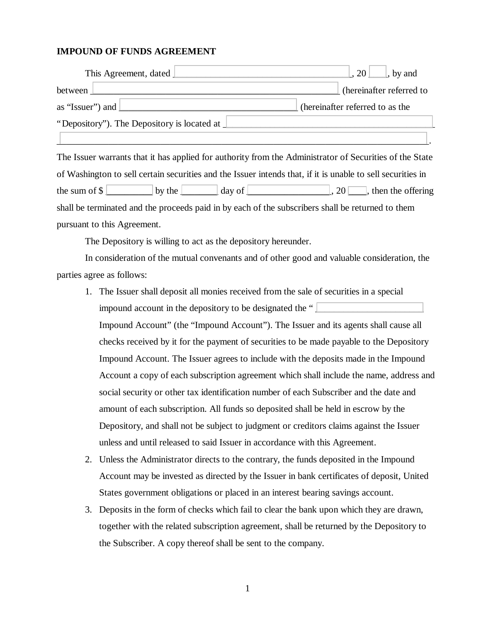## **IMPOUND OF FUNDS AGREEMENT**

| This Agreement, dated                                | $\lfloor 20 \rfloor$ , by and   |
|------------------------------------------------------|---------------------------------|
| between                                              | (hereinafter referred to        |
| as "Issuer") and $\Box$                              | (hereinafter referred to as the |
| "Depository"). The Depository is located at <u>1</u> |                                 |
|                                                      |                                 |

The Issuer warrants that it has applied for authority from the Administrator of Securities of the State of Washington to sell certain securities and the Issuer intends that, if it is unable to sell securities in the sum of  $\$\$ shall be terminated and the proceeds paid in by each of the subscribers shall be returned to them pursuant to this Agreement.

The Depository is willing to act as the depository hereunder.

In consideration of the mutual convenants and of other good and valuable consideration, the parties agree as follows:

- 1. The Issuer shall deposit all monies received from the sale of securities in a special impound account in the depository to be designated the " Impound Account" (the "Impound Account"). The Issuer and its agents shall cause all checks received by it for the payment of securities to be made payable to the Depository Impound Account. The Issuer agrees to include with the deposits made in the Impound Account a copy of each subscription agreement which shall include the name, address and social security or other tax identification number of each Subscriber and the date and amount of each subscription. All funds so deposited shall be held in escrow by the Depository, and shall not be subject to judgment or creditors claims against the Issuer unless and until released to said Issuer in accordance with this Agreement.
- 2. Unless the Administrator directs to the contrary, the funds deposited in the Impound Account may be invested as directed by the Issuer in bank certificates of deposit, United States government obligations or placed in an interest bearing savings account.
- 3. Deposits in the form of checks which fail to clear the bank upon which they are drawn, together with the related subscription agreement, shall be returned by the Depository to the Subscriber. A copy thereof shall be sent to the company.

1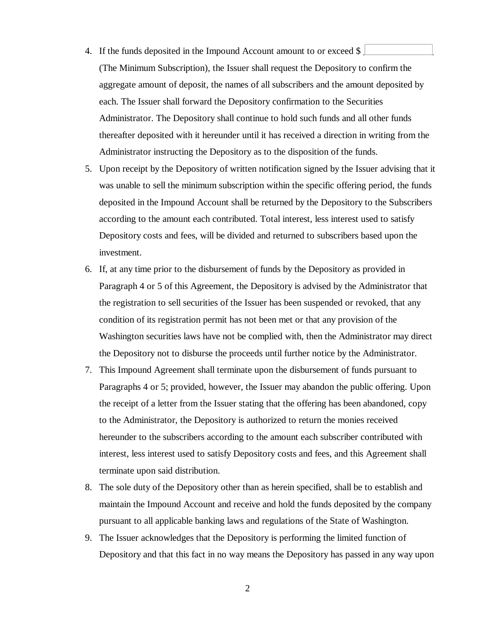- 4. If the funds deposited in the Impound Account amount to or exceed  $\frac{1}{2}$ (The Minimum Subscription), the Issuer shall request the Depository to confirm the aggregate amount of deposit, the names of all subscribers and the amount deposited by each. The Issuer shall forward the Depository confirmation to the Securities Administrator. The Depository shall continue to hold such funds and all other funds thereafter deposited with it hereunder until it has received a direction in writing from the Administrator instructing the Depository as to the disposition of the funds.
- 5. Upon receipt by the Depository of written notification signed by the Issuer advising that it was unable to sell the minimum subscription within the specific offering period, the funds deposited in the Impound Account shall be returned by the Depository to the Subscribers according to the amount each contributed. Total interest, less interest used to satisfy Depository costs and fees, will be divided and returned to subscribers based upon the investment.
- 6. If, at any time prior to the disbursement of funds by the Depository as provided in Paragraph 4 or 5 of this Agreement, the Depository is advised by the Administrator that the registration to sell securities of the Issuer has been suspended or revoked, that any condition of its registration permit has not been met or that any provision of the Washington securities laws have not be complied with, then the Administrator may direct the Depository not to disburse the proceeds until further notice by the Administrator.
- 7. This Impound Agreement shall terminate upon the disbursement of funds pursuant to Paragraphs 4 or 5; provided, however, the Issuer may abandon the public offering. Upon the receipt of a letter from the Issuer stating that the offering has been abandoned, copy to the Administrator, the Depository is authorized to return the monies received hereunder to the subscribers according to the amount each subscriber contributed with interest, less interest used to satisfy Depository costs and fees, and this Agreement shall terminate upon said distribution.
- 8. The sole duty of the Depository other than as herein specified, shall be to establish and maintain the Impound Account and receive and hold the funds deposited by the company pursuant to all applicable banking laws and regulations of the State of Washington.
- 9. The Issuer acknowledges that the Depository is performing the limited function of Depository and that this fact in no way means the Depository has passed in any way upon

2